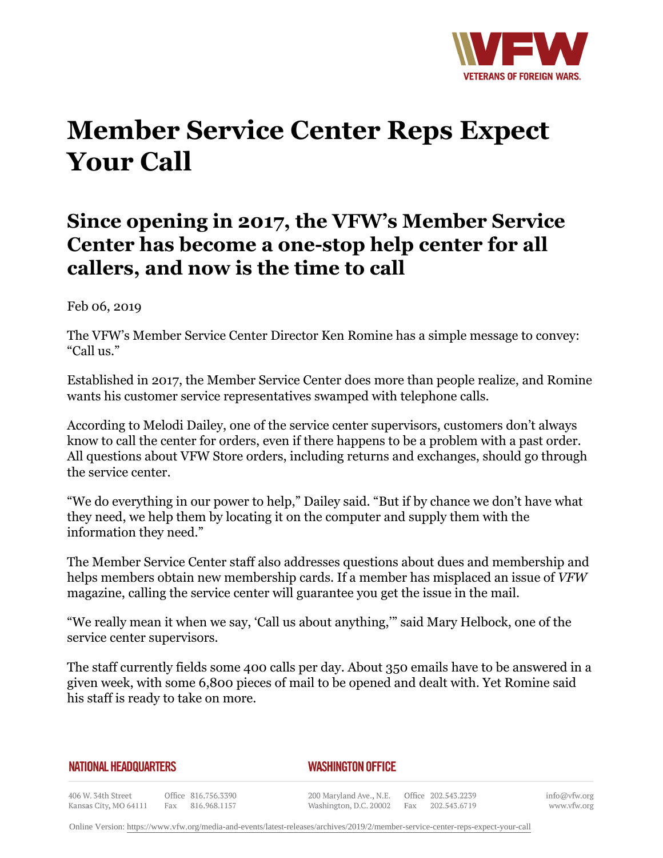

## **Member Service Center Reps Expect Your Call**

## **Since opening in 2017, the VFW's Member Service Center has become a one-stop help center for all callers, and now is the time to call**

Feb 06, 2019

The VFW's Member Service Center Director Ken Romine has a simple message to convey: "Call us."

Established in 2017, the Member Service Center does more than people realize, and Romine wants his customer service representatives swamped with telephone calls.

According to Melodi Dailey, one of the service center supervisors, customers don't always know to call the center for orders, even if there happens to be a problem with a past order. All questions about VFW Store orders, including returns and exchanges, should go through the service center.

"We do everything in our power to help," Dailey said. "But if by chance we don't have what they need, we help them by locating it on the computer and supply them with the information they need."

The Member Service Center staff also addresses questions about dues and membership and helps members obtain new membership cards. If a member has misplaced an issue of *VFW* magazine, calling the service center will guarantee you get the issue in the mail.

"We really mean it when we say, 'Call us about anything,'" said Mary Helbock, one of the service center supervisors.

The staff currently fields some 400 calls per day. About 350 emails have to be answered in a given week, with some 6,800 pieces of mail to be opened and dealt with. Yet Romine said his staff is ready to take on more.

## **NATIONAL HEADQUARTERS**

## *WASHINGTON OFFICE*

406 W. 34th Street Office 816.756.3390 Fax 816.968.1157 Kansas City, MO 64111

200 Maryland Ave., N.E. Washington, D.C. 20002

Office 202.543.2239 Fax 202.543.6719 info@vfw.org www.vfw.org

Online Version:<https://www.vfw.org/media-and-events/latest-releases/archives/2019/2/member-service-center-reps-expect-your-call>